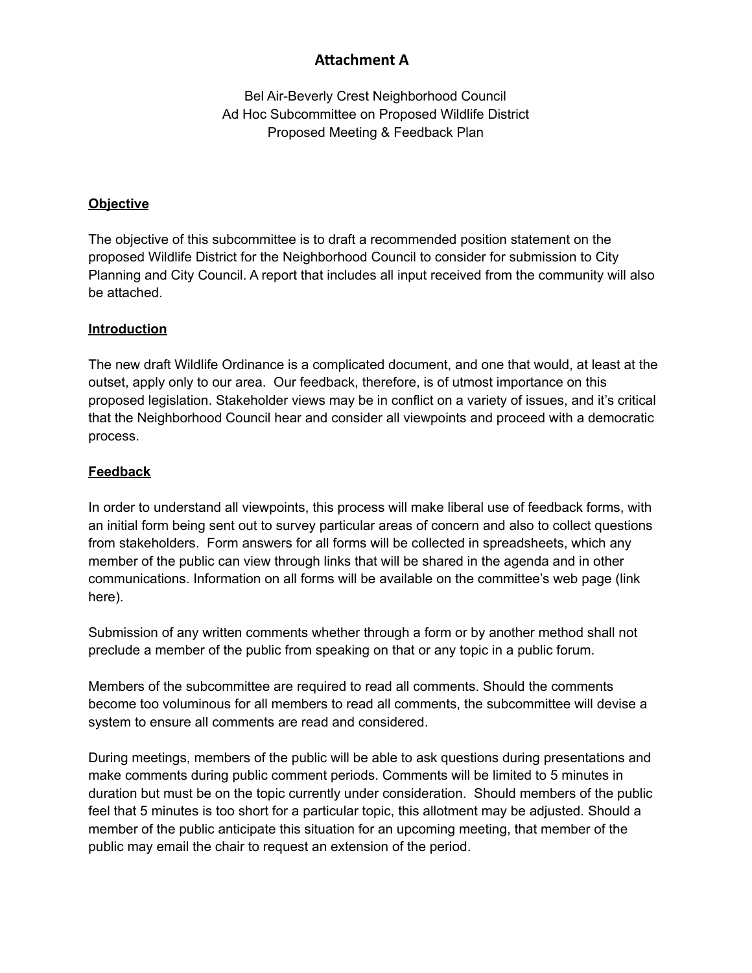# **Attachment A**

Bel Air-Beverly Crest Neighborhood Council Ad Hoc Subcommittee on Proposed Wildlife District Proposed Meeting & Feedback Plan

### **Objective**

The objective of this subcommittee is to draft a recommended position statement on the proposed Wildlife District for the Neighborhood Council to consider for submission to City Planning and City Council. A report that includes all input received from the community will also be attached.

#### **Introduction**

The new draft Wildlife Ordinance is a complicated document, and one that would, at least at the outset, apply only to our area. Our feedback, therefore, is of utmost importance on this proposed legislation. Stakeholder views may be in conflict on a variety of issues, and it's critical that the Neighborhood Council hear and consider all viewpoints and proceed with a democratic process.

#### **Feedback**

In order to understand all viewpoints, this process will make liberal use of feedback forms, with an initial form being sent out to survey particular areas of concern and also to collect questions from stakeholders. Form answers for all forms will be collected in spreadsheets, which any member of the public can view through links that will be shared in the agenda and in other communications. Information on all forms will be available on the committee's web page (link here).

Submission of any written comments whether through a form or by another method shall not preclude a member of the public from speaking on that or any topic in a public forum.

Members of the subcommittee are required to read all comments. Should the comments become too voluminous for all members to read all comments, the subcommittee will devise a system to ensure all comments are read and considered.

During meetings, members of the public will be able to ask questions during presentations and make comments during public comment periods. Comments will be limited to 5 minutes in duration but must be on the topic currently under consideration. Should members of the public feel that 5 minutes is too short for a particular topic, this allotment may be adjusted. Should a member of the public anticipate this situation for an upcoming meeting, that member of the public may email the chair to request an extension of the period.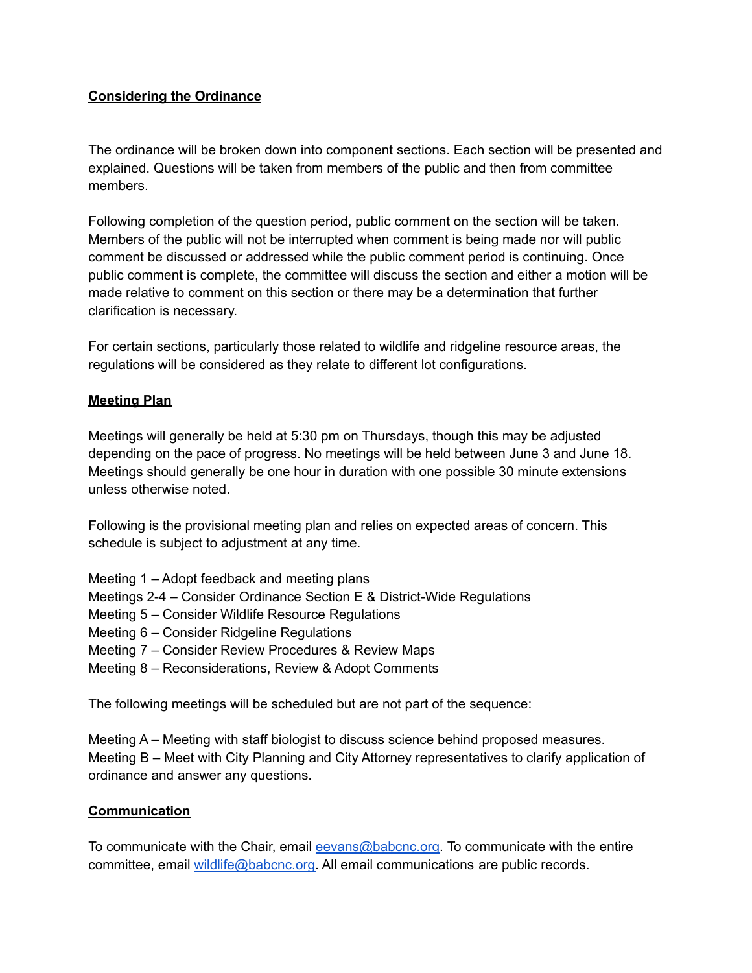## **Considering the Ordinance**

The ordinance will be broken down into component sections. Each section will be presented and explained. Questions will be taken from members of the public and then from committee members.

Following completion of the question period, public comment on the section will be taken. Members of the public will not be interrupted when comment is being made nor will public comment be discussed or addressed while the public comment period is continuing. Once public comment is complete, the committee will discuss the section and either a motion will be made relative to comment on this section or there may be a determination that further clarification is necessary.

For certain sections, particularly those related to wildlife and ridgeline resource areas, the regulations will be considered as they relate to different lot configurations.

## **Meeting Plan**

Meetings will generally be held at 5:30 pm on Thursdays, though this may be adjusted depending on the pace of progress. No meetings will be held between June 3 and June 18. Meetings should generally be one hour in duration with one possible 30 minute extensions unless otherwise noted.

Following is the provisional meeting plan and relies on expected areas of concern. This schedule is subject to adjustment at any time.

- Meeting 1 Adopt feedback and meeting plans
- Meetings 2-4 Consider Ordinance Section E & District-Wide Regulations
- Meeting 5 Consider Wildlife Resource Regulations
- Meeting 6 Consider Ridgeline Regulations
- Meeting 7 Consider Review Procedures & Review Maps
- Meeting 8 Reconsiderations, Review & Adopt Comments

The following meetings will be scheduled but are not part of the sequence:

Meeting A – Meeting with staff biologist to discuss science behind proposed measures. Meeting B – Meet with City Planning and City Attorney representatives to clarify application of ordinance and answer any questions.

### **Communication**

To communicate with the Chair, email [eevans@babcnc.org](mailto:eevans@babcnc.org). To communicate with the entire committee, email [wildlife@babcnc.org.](mailto:wildlife@babcnc.org) All email communications are public records.